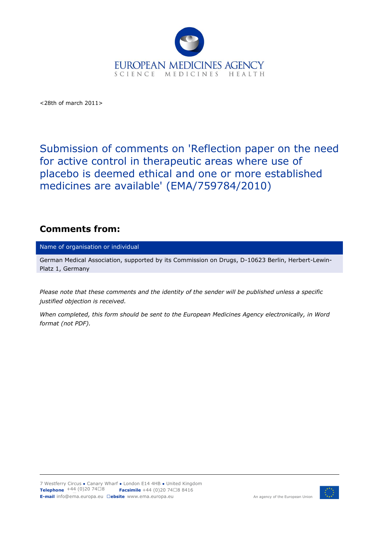

<28th of march 2011>

Submission of comments on 'Reflection paper on the need for active control in therapeutic areas where use of placebo is deemed ethical and one or more established medicines are available' (EMA/759784/2010)

## **Comments from:**

Name of organisation or individual

German Medical Association, supported by its Commission on Drugs, D-10623 Berlin, Herbert-Lewin-Platz 1, Germany

*Please note that these comments and the identity of the sender will be published unless a specific justified objection is received.* 

*When completed, this form should be sent to the European Medicines Agency electronically, in Word format (not PDF).* 

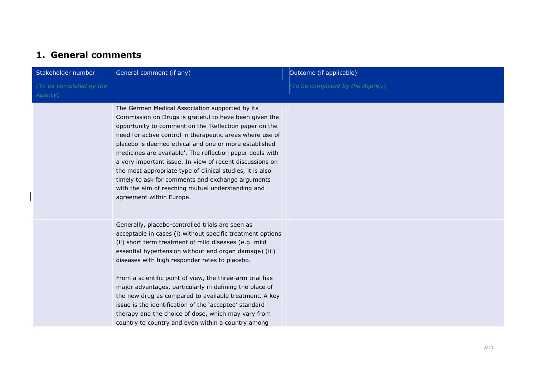## **1. General comments**

| Stakeholder number                 | General comment (if any)                                                                                                                                                                                                                                                                                                                                                                                                                                                                                                                                                                                                                    | Outcome (if applicable)         |
|------------------------------------|---------------------------------------------------------------------------------------------------------------------------------------------------------------------------------------------------------------------------------------------------------------------------------------------------------------------------------------------------------------------------------------------------------------------------------------------------------------------------------------------------------------------------------------------------------------------------------------------------------------------------------------------|---------------------------------|
| (To be completed by the<br>Agency) |                                                                                                                                                                                                                                                                                                                                                                                                                                                                                                                                                                                                                                             | (To be completed by the Agency) |
|                                    | The German Medical Association supported by its<br>Commission on Drugs is grateful to have been given the<br>opportunity to comment on the 'Reflection paper on the<br>need for active control in therapeutic areas where use of<br>placebo is deemed ethical and one or more established<br>medicines are available'. The reflection paper deals with<br>a very important issue. In view of recent discussions on<br>the most appropriate type of clinical studies, it is also<br>timely to ask for comments and exchange arguments<br>with the aim of reaching mutual understanding and<br>agreement within Europe.                       |                                 |
|                                    | Generally, placebo-controlled trials are seen as<br>acceptable in cases (i) without specific treatment options<br>(ii) short term treatment of mild diseases (e.g. mild<br>essential hypertension without end organ damage) (iii)<br>diseases with high responder rates to placebo.<br>From a scientific point of view, the three-arm trial has<br>major advantages, particularly in defining the place of<br>the new drug as compared to available treatment. A key<br>issue is the identification of the 'accepted' standard<br>therapy and the choice of dose, which may vary from<br>country to country and even within a country among |                                 |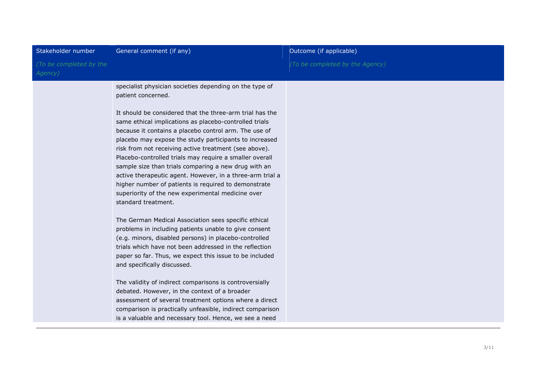| Stakeholder number                 | General comment (if any)                                                                                                                                                                                                              | Outcome (if applicable)         |
|------------------------------------|---------------------------------------------------------------------------------------------------------------------------------------------------------------------------------------------------------------------------------------|---------------------------------|
| (To be completed by the<br>Agency) |                                                                                                                                                                                                                                       | (To be completed by the Agency) |
|                                    | specialist physician societies depending on the type of<br>patient concerned.                                                                                                                                                         |                                 |
|                                    | It should be considered that the three-arm trial has the<br>same ethical implications as placebo-controlled trials<br>because it contains a placebo control arm. The use of<br>placebo may expose the study participants to increased |                                 |
|                                    | risk from not receiving active treatment (see above).<br>Placebo-controlled trials may require a smaller overall<br>sample size than trials comparing a new drug with an                                                              |                                 |
|                                    | active therapeutic agent. However, in a three-arm trial a<br>higher number of patients is required to demonstrate<br>superiority of the new experimental medicine over<br>standard treatment.                                         |                                 |
|                                    | The German Medical Association sees specific ethical<br>problems in including patients unable to give consent<br>(e.g. minors, disabled persons) in placebo-controlled<br>trials which have not been addressed in the reflection      |                                 |
|                                    | paper so far. Thus, we expect this issue to be included<br>and specifically discussed.                                                                                                                                                |                                 |
|                                    | The validity of indirect comparisons is controversially<br>debated. However, in the context of a broader<br>assessment of several treatment options where a direct                                                                    |                                 |
|                                    | comparison is practically unfeasible, indirect comparison<br>is a valuable and necessary tool. Hence, we see a need                                                                                                                   |                                 |
|                                    |                                                                                                                                                                                                                                       |                                 |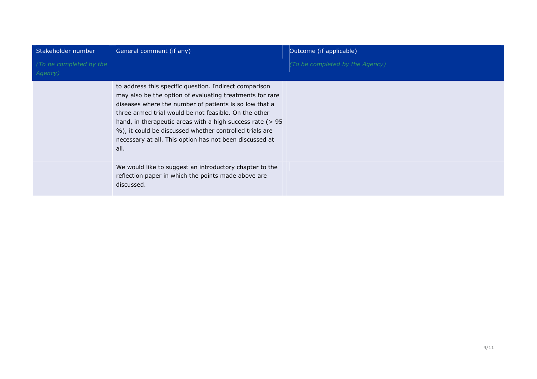| Stakeholder number                 | General comment (if any)                                                                                                                                                                                                                                                                                                                                                                                                             | Outcome (if applicable)         |
|------------------------------------|--------------------------------------------------------------------------------------------------------------------------------------------------------------------------------------------------------------------------------------------------------------------------------------------------------------------------------------------------------------------------------------------------------------------------------------|---------------------------------|
| (To be completed by the<br>Agency) |                                                                                                                                                                                                                                                                                                                                                                                                                                      | (To be completed by the Agency) |
|                                    | to address this specific question. Indirect comparison<br>may also be the option of evaluating treatments for rare<br>diseases where the number of patients is so low that a<br>three armed trial would be not feasible. On the other<br>hand, in the rapeutic areas with a high success rate $($ > 95<br>%), it could be discussed whether controlled trials are<br>necessary at all. This option has not been discussed at<br>all. |                                 |
|                                    | We would like to suggest an introductory chapter to the<br>reflection paper in which the points made above are<br>discussed.                                                                                                                                                                                                                                                                                                         |                                 |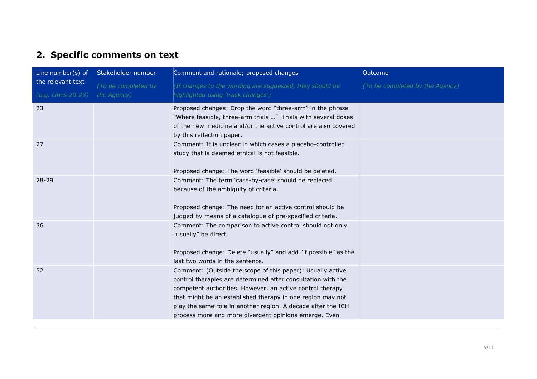## **2. Specific comments on text**

| Line number(s) of                       | Stakeholder number                 | Comment and rationale; proposed changes                                                                                                                                                                                                                                                                                                                                        | Outcome                         |
|-----------------------------------------|------------------------------------|--------------------------------------------------------------------------------------------------------------------------------------------------------------------------------------------------------------------------------------------------------------------------------------------------------------------------------------------------------------------------------|---------------------------------|
| the relevant text<br>(e.g. Lines 20-23) | (To be completed by<br>the Agency) | (If changes to the wording are suggested, they should be<br>highlighted using 'track changes')                                                                                                                                                                                                                                                                                 | (To be completed by the Agency) |
| 23                                      |                                    | Proposed changes: Drop the word "three-arm" in the phrase<br>"Where feasible, three-arm trials ". Trials with several doses<br>of the new medicine and/or the active control are also covered<br>by this reflection paper.                                                                                                                                                     |                                 |
| 27                                      |                                    | Comment: It is unclear in which cases a placebo-controlled<br>study that is deemed ethical is not feasible.<br>Proposed change: The word 'feasible' should be deleted.                                                                                                                                                                                                         |                                 |
| 28-29                                   |                                    | Comment: The term 'case-by-case' should be replaced<br>because of the ambiguity of criteria.<br>Proposed change: The need for an active control should be<br>judged by means of a catalogue of pre-specified criteria.                                                                                                                                                         |                                 |
| 36                                      |                                    | Comment: The comparison to active control should not only<br>"usually" be direct.<br>Proposed change: Delete "usually" and add "if possible" as the<br>last two words in the sentence.                                                                                                                                                                                         |                                 |
| 52                                      |                                    | Comment: (Outside the scope of this paper): Usually active<br>control therapies are determined after consultation with the<br>competent authorities. However, an active control therapy<br>that might be an established therapy in one region may not<br>play the same role in another region. A decade after the ICH<br>process more and more divergent opinions emerge. Even |                                 |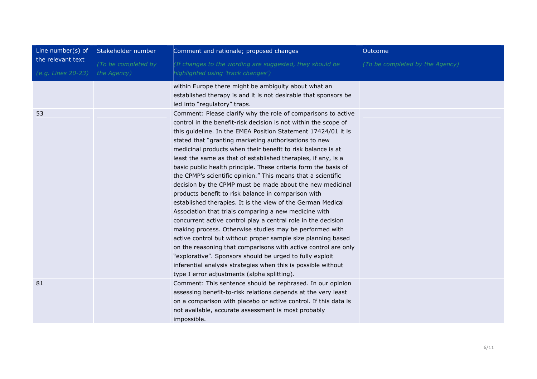| Line number( $s$ ) of                   | Stakeholder number                 | Comment and rationale; proposed changes                                                                                                                                                                                                                                                                                                                                                                                                                                                                                                                                                                                                                                                                                                                                                                                                                                                                                                                                                                                                                                                                                                                                                                             | Outcome                         |
|-----------------------------------------|------------------------------------|---------------------------------------------------------------------------------------------------------------------------------------------------------------------------------------------------------------------------------------------------------------------------------------------------------------------------------------------------------------------------------------------------------------------------------------------------------------------------------------------------------------------------------------------------------------------------------------------------------------------------------------------------------------------------------------------------------------------------------------------------------------------------------------------------------------------------------------------------------------------------------------------------------------------------------------------------------------------------------------------------------------------------------------------------------------------------------------------------------------------------------------------------------------------------------------------------------------------|---------------------------------|
| the relevant text<br>(e.g. Lines 20-23) | (To be completed by<br>the Agency) | (If changes to the wording are suggested, they should be<br>highlighted using 'track changes')                                                                                                                                                                                                                                                                                                                                                                                                                                                                                                                                                                                                                                                                                                                                                                                                                                                                                                                                                                                                                                                                                                                      | (To be completed by the Agency) |
|                                         |                                    | within Europe there might be ambiguity about what an<br>established therapy is and it is not desirable that sponsors be<br>led into "regulatory" traps.                                                                                                                                                                                                                                                                                                                                                                                                                                                                                                                                                                                                                                                                                                                                                                                                                                                                                                                                                                                                                                                             |                                 |
| 53                                      |                                    | Comment: Please clarify why the role of comparisons to active<br>control in the benefit-risk decision is not within the scope of<br>this guideline. In the EMEA Position Statement 17424/01 it is<br>stated that "granting marketing authorisations to new<br>medicinal products when their benefit to risk balance is at<br>least the same as that of established therapies, if any, is a<br>basic public health principle. These criteria form the basis of<br>the CPMP's scientific opinion." This means that a scientific<br>decision by the CPMP must be made about the new medicinal<br>products benefit to risk balance in comparison with<br>established therapies. It is the view of the German Medical<br>Association that trials comparing a new medicine with<br>concurrent active control play a central role in the decision<br>making process. Otherwise studies may be performed with<br>active control but without proper sample size planning based<br>on the reasoning that comparisons with active control are only<br>"explorative". Sponsors should be urged to fully exploit<br>inferential analysis strategies when this is possible without<br>type I error adjustments (alpha splitting). |                                 |
| 81                                      |                                    | Comment: This sentence should be rephrased. In our opinion<br>assessing benefit-to-risk relations depends at the very least<br>on a comparison with placebo or active control. If this data is<br>not available, accurate assessment is most probably<br>impossible.                                                                                                                                                                                                                                                                                                                                                                                                                                                                                                                                                                                                                                                                                                                                                                                                                                                                                                                                                |                                 |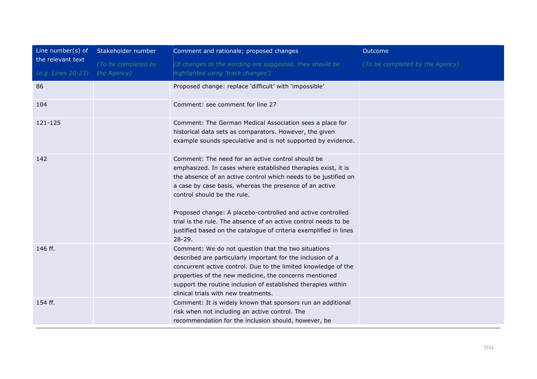| Line number(s) of  | Stakeholder number  | Comment and rationale; proposed changes                                                                                                                                                                                                                                                                                                                                                                                                                                                              | Outcome                         |
|--------------------|---------------------|------------------------------------------------------------------------------------------------------------------------------------------------------------------------------------------------------------------------------------------------------------------------------------------------------------------------------------------------------------------------------------------------------------------------------------------------------------------------------------------------------|---------------------------------|
| the relevant text  | (To be completed by | (If changes to the wording are suggested, they should be                                                                                                                                                                                                                                                                                                                                                                                                                                             | (To be completed by the Agency) |
| (e.g. Lines 20-23) | the Agency)         | highlighted using 'track changes')                                                                                                                                                                                                                                                                                                                                                                                                                                                                   |                                 |
| 86                 |                     | Proposed change: replace 'difficult' with 'impossible'                                                                                                                                                                                                                                                                                                                                                                                                                                               |                                 |
| 104                |                     | Comment: see comment for line 27                                                                                                                                                                                                                                                                                                                                                                                                                                                                     |                                 |
| 121-125            |                     | Comment: The German Medical Association sees a place for<br>historical data sets as comparators. However, the given<br>example sounds speculative and is not supported by evidence.                                                                                                                                                                                                                                                                                                                  |                                 |
| 142                |                     | Comment: The need for an active control should be<br>emphasized. In cases where established therapies exist, it is<br>the absence of an active control which needs to be justified on<br>a case by case basis, whereas the presence of an active<br>control should be the rule.<br>Proposed change: A placebo-controlled and active controlled<br>trial is the rule. The absence of an active control needs to be<br>justified based on the catalogue of criteria exemplified in lines<br>$28 - 29.$ |                                 |
| 146 ff.            |                     | Comment: We do not question that the two situations<br>described are particularly important for the inclusion of a<br>concurrent active control. Due to the limited knowledge of the<br>properties of the new medicine, the concerns mentioned<br>support the routine inclusion of established therapies within<br>clinical trials with new treatments.                                                                                                                                              |                                 |
| 154 ff.            |                     | Comment: It is widely known that sponsors run an additional<br>risk when not including an active control. The<br>recommendation for the inclusion should, however, be                                                                                                                                                                                                                                                                                                                                |                                 |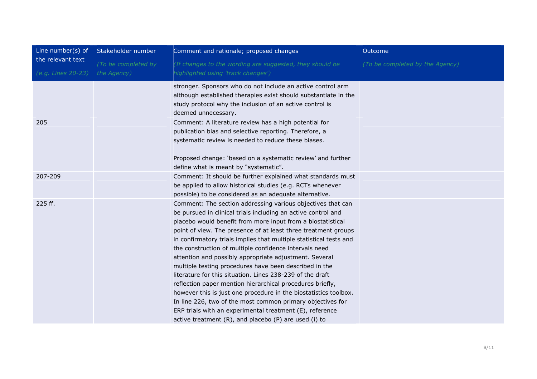| Line number(s) of                       | Stakeholder number                 | Comment and rationale; proposed changes                                                                                                                                                                                                                                                                                                                                                                                                                                                                                                                                                                                                                                                                                                                                                                                                                                                            | Outcome                         |
|-----------------------------------------|------------------------------------|----------------------------------------------------------------------------------------------------------------------------------------------------------------------------------------------------------------------------------------------------------------------------------------------------------------------------------------------------------------------------------------------------------------------------------------------------------------------------------------------------------------------------------------------------------------------------------------------------------------------------------------------------------------------------------------------------------------------------------------------------------------------------------------------------------------------------------------------------------------------------------------------------|---------------------------------|
| the relevant text<br>(e.g. Lines 20-23) | (To be completed by<br>the Agency) | (If changes to the wording are suggested, they should be<br>highlighted using 'track changes')                                                                                                                                                                                                                                                                                                                                                                                                                                                                                                                                                                                                                                                                                                                                                                                                     | (To be completed by the Agency) |
|                                         |                                    | stronger. Sponsors who do not include an active control arm<br>although established therapies exist should substantiate in the<br>study protocol why the inclusion of an active control is<br>deemed unnecessary.                                                                                                                                                                                                                                                                                                                                                                                                                                                                                                                                                                                                                                                                                  |                                 |
| 205                                     |                                    | Comment: A literature review has a high potential for<br>publication bias and selective reporting. Therefore, a<br>systematic review is needed to reduce these biases.<br>Proposed change: 'based on a systematic review' and further                                                                                                                                                                                                                                                                                                                                                                                                                                                                                                                                                                                                                                                              |                                 |
|                                         |                                    | define what is meant by "systematic".                                                                                                                                                                                                                                                                                                                                                                                                                                                                                                                                                                                                                                                                                                                                                                                                                                                              |                                 |
| 207-209                                 |                                    | Comment: It should be further explained what standards must<br>be applied to allow historical studies (e.g. RCTs whenever<br>possible) to be considered as an adequate alternative.                                                                                                                                                                                                                                                                                                                                                                                                                                                                                                                                                                                                                                                                                                                |                                 |
| 225 ff.                                 |                                    | Comment: The section addressing various objectives that can<br>be pursued in clinical trials including an active control and<br>placebo would benefit from more input from a biostatistical<br>point of view. The presence of at least three treatment groups<br>in confirmatory trials implies that multiple statistical tests and<br>the construction of multiple confidence intervals need<br>attention and possibly appropriate adjustment. Several<br>multiple testing procedures have been described in the<br>literature for this situation. Lines 238-239 of the draft<br>reflection paper mention hierarchical procedures briefly,<br>however this is just one procedure in the biostatistics toolbox.<br>In line 226, two of the most common primary objectives for<br>ERP trials with an experimental treatment (E), reference<br>active treatment (R), and placebo (P) are used (i) to |                                 |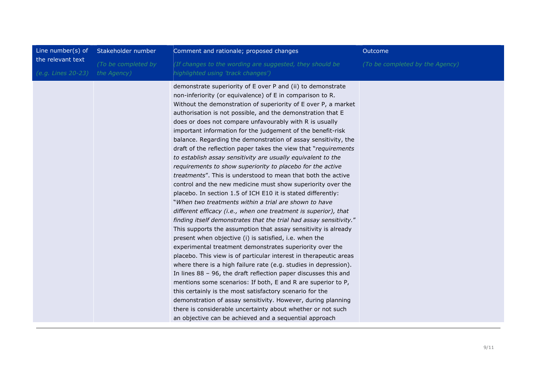| Line number(s) of  | Stakeholder number  | Comment and rationale; proposed changes                                                                                                                                                                                                                                                                                                                                                                                                                                                                                                                                                                                                                                                                                                                                                                                                                                                                                                                                                                                                                                                                                                                                                                                                                                                                                                                                                                                                                                                                                                                                                                                                                                                                                                                                              | Outcome                         |
|--------------------|---------------------|--------------------------------------------------------------------------------------------------------------------------------------------------------------------------------------------------------------------------------------------------------------------------------------------------------------------------------------------------------------------------------------------------------------------------------------------------------------------------------------------------------------------------------------------------------------------------------------------------------------------------------------------------------------------------------------------------------------------------------------------------------------------------------------------------------------------------------------------------------------------------------------------------------------------------------------------------------------------------------------------------------------------------------------------------------------------------------------------------------------------------------------------------------------------------------------------------------------------------------------------------------------------------------------------------------------------------------------------------------------------------------------------------------------------------------------------------------------------------------------------------------------------------------------------------------------------------------------------------------------------------------------------------------------------------------------------------------------------------------------------------------------------------------------|---------------------------------|
| the relevant text  | (To be completed by | (If changes to the wording are suggested, they should be                                                                                                                                                                                                                                                                                                                                                                                                                                                                                                                                                                                                                                                                                                                                                                                                                                                                                                                                                                                                                                                                                                                                                                                                                                                                                                                                                                                                                                                                                                                                                                                                                                                                                                                             | (To be completed by the Agency) |
| (e.g. Lines 20-23) | the Agency)         | highlighted using 'track changes')                                                                                                                                                                                                                                                                                                                                                                                                                                                                                                                                                                                                                                                                                                                                                                                                                                                                                                                                                                                                                                                                                                                                                                                                                                                                                                                                                                                                                                                                                                                                                                                                                                                                                                                                                   |                                 |
|                    |                     | demonstrate superiority of E over P and (ii) to demonstrate<br>non-inferiority (or equivalence) of E in comparison to R.<br>Without the demonstration of superiority of E over P, a market<br>authorisation is not possible, and the demonstration that E<br>does or does not compare unfavourably with R is usually<br>important information for the judgement of the benefit-risk<br>balance. Regarding the demonstration of assay sensitivity, the<br>draft of the reflection paper takes the view that "requirements"<br>to establish assay sensitivity are usually equivalent to the<br>requirements to show superiority to placebo for the active<br>treatments". This is understood to mean that both the active<br>control and the new medicine must show superiority over the<br>placebo. In section 1.5 of ICH E10 it is stated differently:<br>"When two treatments within a trial are shown to have<br>different efficacy (i.e., when one treatment is superior), that<br>finding itself demonstrates that the trial had assay sensitivity."<br>This supports the assumption that assay sensitivity is already<br>present when objective (i) is satisfied, i.e. when the<br>experimental treatment demonstrates superiority over the<br>placebo. This view is of particular interest in therapeutic areas<br>where there is a high failure rate (e.g. studies in depression).<br>In lines $88 - 96$ , the draft reflection paper discusses this and<br>mentions some scenarios: If both, E and R are superior to P,<br>this certainly is the most satisfactory scenario for the<br>demonstration of assay sensitivity. However, during planning<br>there is considerable uncertainty about whether or not such<br>an objective can be achieved and a sequential approach |                                 |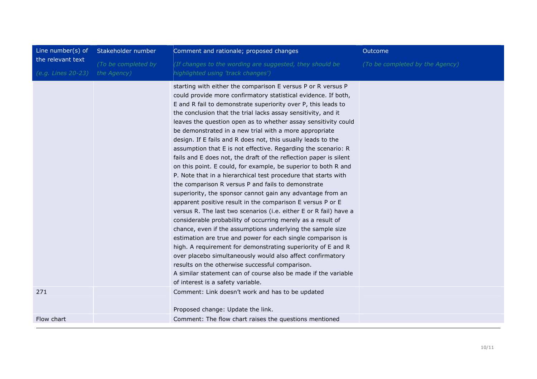| Line number(s) of  | Stakeholder number  | Comment and rationale; proposed changes                                                                                                                                                                                                                                                                                                                                                                                                                                                                                                                                                                                                                                                                                                                                                                                                                                                                                                                                                                                                                                                                                                                                                                                                                                                                                                                                                                                                      | Outcome                         |
|--------------------|---------------------|----------------------------------------------------------------------------------------------------------------------------------------------------------------------------------------------------------------------------------------------------------------------------------------------------------------------------------------------------------------------------------------------------------------------------------------------------------------------------------------------------------------------------------------------------------------------------------------------------------------------------------------------------------------------------------------------------------------------------------------------------------------------------------------------------------------------------------------------------------------------------------------------------------------------------------------------------------------------------------------------------------------------------------------------------------------------------------------------------------------------------------------------------------------------------------------------------------------------------------------------------------------------------------------------------------------------------------------------------------------------------------------------------------------------------------------------|---------------------------------|
| the relevant text  | (To be completed by | (If changes to the wording are suggested, they should be                                                                                                                                                                                                                                                                                                                                                                                                                                                                                                                                                                                                                                                                                                                                                                                                                                                                                                                                                                                                                                                                                                                                                                                                                                                                                                                                                                                     | (To be completed by the Agency) |
| (e.g. Lines 20-23) | the Agency)         | highlighted using 'track changes')                                                                                                                                                                                                                                                                                                                                                                                                                                                                                                                                                                                                                                                                                                                                                                                                                                                                                                                                                                                                                                                                                                                                                                                                                                                                                                                                                                                                           |                                 |
|                    |                     | starting with either the comparison E versus P or R versus P<br>could provide more confirmatory statistical evidence. If both,<br>E and R fail to demonstrate superiority over P, this leads to<br>the conclusion that the trial lacks assay sensitivity, and it<br>leaves the question open as to whether assay sensitivity could<br>be demonstrated in a new trial with a more appropriate<br>design. If E fails and R does not, this usually leads to the<br>assumption that E is not effective. Regarding the scenario: R<br>fails and E does not, the draft of the reflection paper is silent<br>on this point. E could, for example, be superior to both R and<br>P. Note that in a hierarchical test procedure that starts with<br>the comparison R versus P and fails to demonstrate<br>superiority, the sponsor cannot gain any advantage from an<br>apparent positive result in the comparison E versus P or E<br>versus R. The last two scenarios (i.e. either E or R fail) have a<br>considerable probability of occurring merely as a result of<br>chance, even if the assumptions underlying the sample size<br>estimation are true and power for each single comparison is<br>high. A requirement for demonstrating superiority of E and R<br>over placebo simultaneously would also affect confirmatory<br>results on the otherwise successful comparison.<br>A similar statement can of course also be made if the variable |                                 |
| 271                |                     | of interest is a safety variable.<br>Comment: Link doesn't work and has to be updated                                                                                                                                                                                                                                                                                                                                                                                                                                                                                                                                                                                                                                                                                                                                                                                                                                                                                                                                                                                                                                                                                                                                                                                                                                                                                                                                                        |                                 |
|                    |                     | Proposed change: Update the link.                                                                                                                                                                                                                                                                                                                                                                                                                                                                                                                                                                                                                                                                                                                                                                                                                                                                                                                                                                                                                                                                                                                                                                                                                                                                                                                                                                                                            |                                 |
| Flow chart         |                     | Comment: The flow chart raises the questions mentioned                                                                                                                                                                                                                                                                                                                                                                                                                                                                                                                                                                                                                                                                                                                                                                                                                                                                                                                                                                                                                                                                                                                                                                                                                                                                                                                                                                                       |                                 |